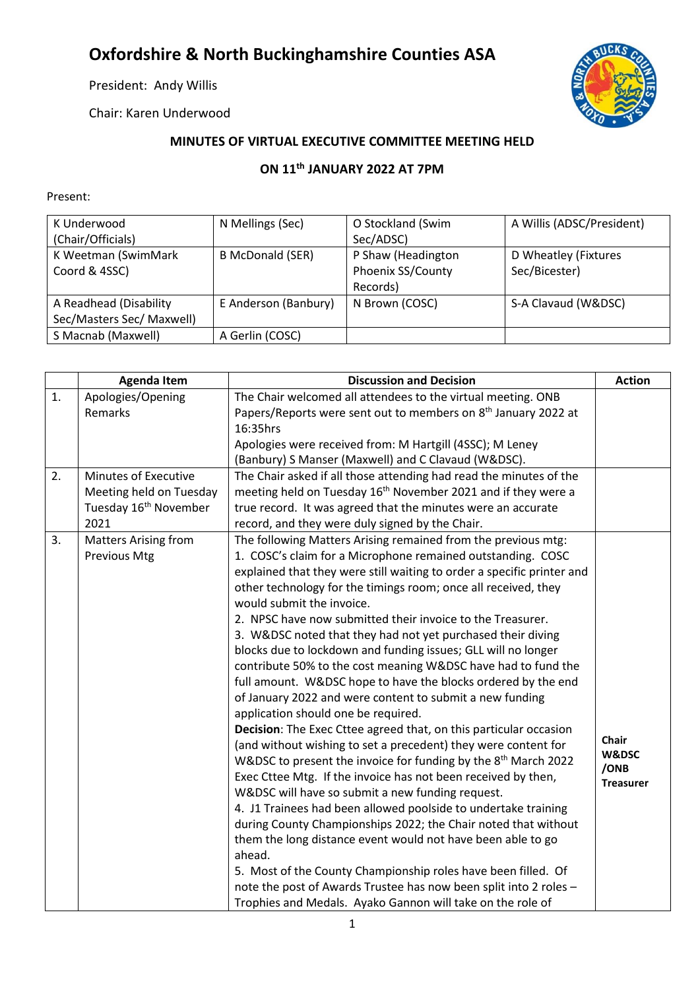## **Oxfordshire & North Buckinghamshire Counties ASA**

President: Andy Willis

Chair: Karen Underwood



## **MINUTES OF VIRTUAL EXECUTIVE COMMITTEE MEETING HELD**

## **ON 11th JANUARY 2022 AT 7PM**

## Present:

| K Underwood<br>(Chair/Officials)                    | N Mellings (Sec)        | O Stockland (Swim<br>Sec/ADSC)                      | A Willis (ADSC/President)             |
|-----------------------------------------------------|-------------------------|-----------------------------------------------------|---------------------------------------|
| K Weetman (SwimMark<br>Coord & 4SSC)                | <b>B McDonald (SER)</b> | P Shaw (Headington<br>Phoenix SS/County<br>Records) | D Wheatley (Fixtures<br>Sec/Bicester) |
| A Readhead (Disability<br>Sec/Masters Sec/ Maxwell) | E Anderson (Banbury)    | N Brown (COSC)                                      | S-A Clavaud (W&DSC)                   |
| S Macnab (Maxwell)                                  | A Gerlin (COSC)         |                                                     |                                       |

|    | <b>Agenda Item</b>                | <b>Discussion and Decision</b>                                             | <b>Action</b>    |
|----|-----------------------------------|----------------------------------------------------------------------------|------------------|
| 1. | Apologies/Opening                 | The Chair welcomed all attendees to the virtual meeting. ONB               |                  |
|    | Remarks                           | Papers/Reports were sent out to members on 8 <sup>th</sup> January 2022 at |                  |
|    |                                   | 16:35hrs                                                                   |                  |
|    |                                   | Apologies were received from: M Hartgill (4SSC); M Leney                   |                  |
|    |                                   | (Banbury) S Manser (Maxwell) and C Clavaud (W&DSC).                        |                  |
| 2. | Minutes of Executive              | The Chair asked if all those attending had read the minutes of the         |                  |
|    | Meeting held on Tuesday           | meeting held on Tuesday 16 <sup>th</sup> November 2021 and if they were a  |                  |
|    | Tuesday 16 <sup>th</sup> November | true record. It was agreed that the minutes were an accurate               |                  |
|    | 2021                              | record, and they were duly signed by the Chair.                            |                  |
| 3. | <b>Matters Arising from</b>       | The following Matters Arising remained from the previous mtg:              |                  |
|    | <b>Previous Mtg</b>               | 1. COSC's claim for a Microphone remained outstanding. COSC                |                  |
|    |                                   | explained that they were still waiting to order a specific printer and     |                  |
|    |                                   | other technology for the timings room; once all received, they             |                  |
|    |                                   | would submit the invoice.                                                  |                  |
|    |                                   | 2. NPSC have now submitted their invoice to the Treasurer.                 |                  |
|    |                                   | 3. W&DSC noted that they had not yet purchased their diving                |                  |
|    |                                   | blocks due to lockdown and funding issues; GLL will no longer              |                  |
|    |                                   | contribute 50% to the cost meaning W&DSC have had to fund the              |                  |
|    |                                   | full amount. W&DSC hope to have the blocks ordered by the end              |                  |
|    |                                   | of January 2022 and were content to submit a new funding                   |                  |
|    |                                   | application should one be required.                                        |                  |
|    |                                   | Decision: The Exec Cttee agreed that, on this particular occasion          | Chair            |
|    |                                   | (and without wishing to set a precedent) they were content for             | W&DSC            |
|    |                                   | W&DSC to present the invoice for funding by the 8 <sup>th</sup> March 2022 | /ONB             |
|    |                                   | Exec Cttee Mtg. If the invoice has not been received by then,              | <b>Treasurer</b> |
|    |                                   | W&DSC will have so submit a new funding request.                           |                  |
|    |                                   | 4. J1 Trainees had been allowed poolside to undertake training             |                  |
|    |                                   | during County Championships 2022; the Chair noted that without             |                  |
|    |                                   | them the long distance event would not have been able to go                |                  |
|    |                                   | ahead.                                                                     |                  |
|    |                                   | 5. Most of the County Championship roles have been filled. Of              |                  |
|    |                                   | note the post of Awards Trustee has now been split into 2 roles -          |                  |
|    |                                   | Trophies and Medals. Ayako Gannon will take on the role of                 |                  |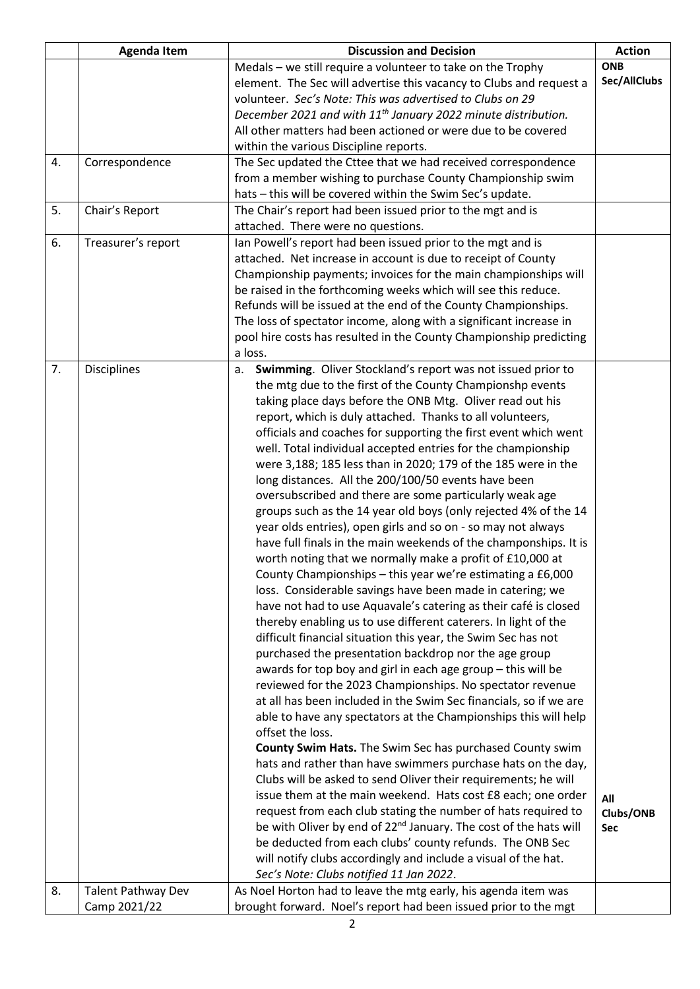|    | <b>Agenda Item</b>        | <b>Discussion and Decision</b>                                               | <b>Action</b> |
|----|---------------------------|------------------------------------------------------------------------------|---------------|
|    |                           | Medals - we still require a volunteer to take on the Trophy                  | <b>ONB</b>    |
|    |                           | element. The Sec will advertise this vacancy to Clubs and request a          | Sec/AllClubs  |
|    |                           | volunteer. Sec's Note: This was advertised to Clubs on 29                    |               |
|    |                           | December 2021 and with 11 <sup>th</sup> January 2022 minute distribution.    |               |
|    |                           | All other matters had been actioned or were due to be covered                |               |
|    |                           | within the various Discipline reports.                                       |               |
| 4. | Correspondence            | The Sec updated the Cttee that we had received correspondence                |               |
|    |                           | from a member wishing to purchase County Championship swim                   |               |
|    |                           | hats - this will be covered within the Swim Sec's update.                    |               |
| 5. | Chair's Report            | The Chair's report had been issued prior to the mgt and is                   |               |
|    |                           | attached. There were no questions.                                           |               |
| 6. | Treasurer's report        | Ian Powell's report had been issued prior to the mgt and is                  |               |
|    |                           | attached. Net increase in account is due to receipt of County                |               |
|    |                           | Championship payments; invoices for the main championships will              |               |
|    |                           | be raised in the forthcoming weeks which will see this reduce.               |               |
|    |                           | Refunds will be issued at the end of the County Championships.               |               |
|    |                           | The loss of spectator income, along with a significant increase in           |               |
|    |                           | pool hire costs has resulted in the County Championship predicting           |               |
|    |                           | a loss.                                                                      |               |
| 7. | <b>Disciplines</b>        | Swimming. Oliver Stockland's report was not issued prior to<br>a.            |               |
|    |                           | the mtg due to the first of the County Championshp events                    |               |
|    |                           | taking place days before the ONB Mtg. Oliver read out his                    |               |
|    |                           | report, which is duly attached. Thanks to all volunteers,                    |               |
|    |                           | officials and coaches for supporting the first event which went              |               |
|    |                           | well. Total individual accepted entries for the championship                 |               |
|    |                           | were 3,188; 185 less than in 2020; 179 of the 185 were in the                |               |
|    |                           | long distances. All the 200/100/50 events have been                          |               |
|    |                           | oversubscribed and there are some particularly weak age                      |               |
|    |                           | groups such as the 14 year old boys (only rejected 4% of the 14              |               |
|    |                           | year olds entries), open girls and so on - so may not always                 |               |
|    |                           | have full finals in the main weekends of the champonships. It is             |               |
|    |                           | worth noting that we normally make a profit of £10,000 at                    |               |
|    |                           | County Championships - this year we're estimating a £6,000                   |               |
|    |                           | loss. Considerable savings have been made in catering; we                    |               |
|    |                           | have not had to use Aquavale's catering as their café is closed              |               |
|    |                           | thereby enabling us to use different caterers. In light of the               |               |
|    |                           | difficult financial situation this year, the Swim Sec has not                |               |
|    |                           | purchased the presentation backdrop nor the age group                        |               |
|    |                           | awards for top boy and girl in each age group - this will be                 |               |
|    |                           | reviewed for the 2023 Championships. No spectator revenue                    |               |
|    |                           | at all has been included in the Swim Sec financials, so if we are            |               |
|    |                           | able to have any spectators at the Championships this will help              |               |
|    |                           | offset the loss.                                                             |               |
|    |                           | County Swim Hats. The Swim Sec has purchased County swim                     |               |
|    |                           | hats and rather than have swimmers purchase hats on the day,                 |               |
|    |                           | Clubs will be asked to send Oliver their requirements; he will               |               |
|    |                           | issue them at the main weekend. Hats cost £8 each; one order                 | All           |
|    |                           | request from each club stating the number of hats required to                | Clubs/ONB     |
|    |                           | be with Oliver by end of 22 <sup>nd</sup> January. The cost of the hats will | Sec           |
|    |                           | be deducted from each clubs' county refunds. The ONB Sec                     |               |
|    |                           | will notify clubs accordingly and include a visual of the hat.               |               |
|    |                           | Sec's Note: Clubs notified 11 Jan 2022.                                      |               |
| 8. | <b>Talent Pathway Dev</b> | As Noel Horton had to leave the mtg early, his agenda item was               |               |
|    | Camp 2021/22              | brought forward. Noel's report had been issued prior to the mgt              |               |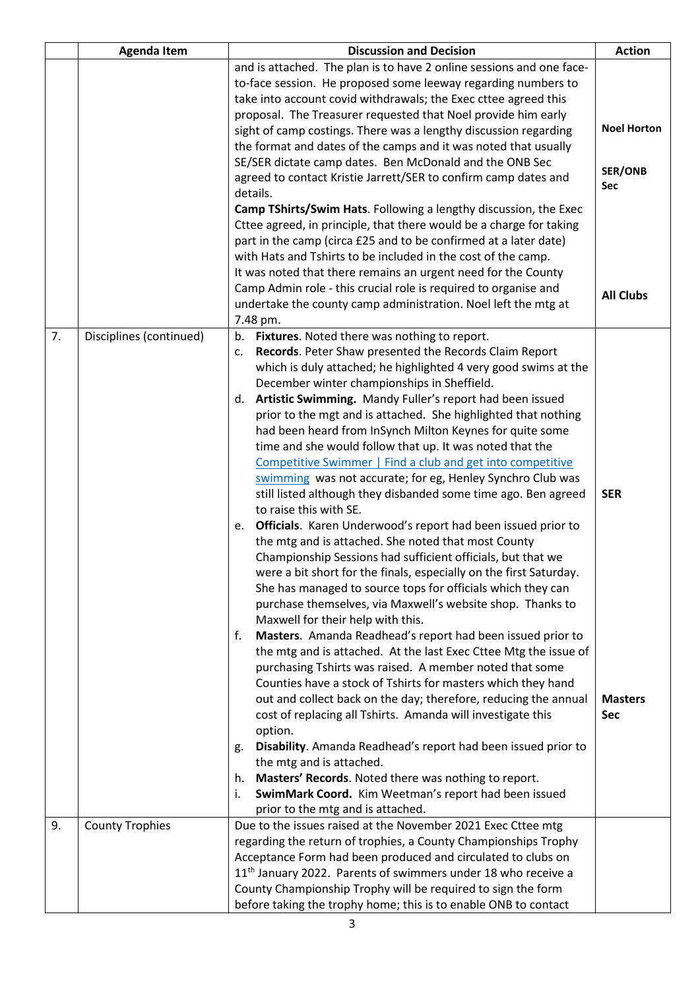|    | <b>Agenda Item</b>      | <b>Discussion and Decision</b>                                                                                         | <b>Action</b>                |
|----|-------------------------|------------------------------------------------------------------------------------------------------------------------|------------------------------|
|    |                         | and is attached. The plan is to have 2 online sessions and one face-                                                   |                              |
|    |                         | to-face session. He proposed some leeway regarding numbers to                                                          |                              |
|    |                         | take into account covid withdrawals; the Exec cttee agreed this                                                        |                              |
|    |                         | proposal. The Treasurer requested that Noel provide him early                                                          |                              |
|    |                         | sight of camp costings. There was a lengthy discussion regarding                                                       | <b>Noel Horton</b>           |
|    |                         | the format and dates of the camps and it was noted that usually                                                        |                              |
|    |                         | SE/SER dictate camp dates. Ben McDonald and the ONB Sec                                                                |                              |
|    |                         | agreed to contact Kristie Jarrett/SER to confirm camp dates and                                                        | <b>SER/ONB</b><br><b>Sec</b> |
|    |                         | details.                                                                                                               |                              |
|    |                         | Camp TShirts/Swim Hats. Following a lengthy discussion, the Exec                                                       |                              |
|    |                         | Cttee agreed, in principle, that there would be a charge for taking                                                    |                              |
|    |                         | part in the camp (circa £25 and to be confirmed at a later date)                                                       |                              |
|    |                         | with Hats and Tshirts to be included in the cost of the camp.                                                          |                              |
|    |                         | It was noted that there remains an urgent need for the County                                                          |                              |
|    |                         | Camp Admin role - this crucial role is required to organise and                                                        | <b>All Clubs</b>             |
|    |                         | undertake the county camp administration. Noel left the mtg at                                                         |                              |
|    |                         | 7.48 pm.                                                                                                               |                              |
| 7. | Disciplines (continued) | Fixtures. Noted there was nothing to report.<br>b.                                                                     |                              |
|    |                         | Records. Peter Shaw presented the Records Claim Report<br>c.                                                           |                              |
|    |                         | which is duly attached; he highlighted 4 very good swims at the                                                        |                              |
|    |                         | December winter championships in Sheffield.                                                                            |                              |
|    |                         | d. Artistic Swimming. Mandy Fuller's report had been issued                                                            |                              |
|    |                         | prior to the mgt and is attached. She highlighted that nothing                                                         |                              |
|    |                         | had been heard from InSynch Milton Keynes for quite some                                                               |                              |
|    |                         | time and she would follow that up. It was noted that the<br>Competitive Swimmer   Find a club and get into competitive |                              |
|    |                         | swimming was not accurate; for eg, Henley Synchro Club was                                                             |                              |
|    |                         | still listed although they disbanded some time ago. Ben agreed                                                         | <b>SER</b>                   |
|    |                         | to raise this with SE.                                                                                                 |                              |
|    |                         | e. Officials. Karen Underwood's report had been issued prior to                                                        |                              |
|    |                         | the mtg and is attached. She noted that most County                                                                    |                              |
|    |                         | Championship Sessions had sufficient officials, but that we                                                            |                              |
|    |                         | were a bit short for the finals, especially on the first Saturday.                                                     |                              |
|    |                         | She has managed to source tops for officials which they can                                                            |                              |
|    |                         | purchase themselves, via Maxwell's website shop. Thanks to                                                             |                              |
|    |                         | Maxwell for their help with this.                                                                                      |                              |
|    |                         | Masters. Amanda Readhead's report had been issued prior to<br>f.                                                       |                              |
|    |                         | the mtg and is attached. At the last Exec Cttee Mtg the issue of                                                       |                              |
|    |                         | purchasing Tshirts was raised. A member noted that some                                                                |                              |
|    |                         | Counties have a stock of Tshirts for masters which they hand                                                           |                              |
|    |                         | out and collect back on the day; therefore, reducing the annual                                                        | <b>Masters</b>               |
|    |                         | cost of replacing all Tshirts. Amanda will investigate this                                                            | Sec                          |
|    |                         | option.                                                                                                                |                              |
|    |                         | Disability. Amanda Readhead's report had been issued prior to<br>g.                                                    |                              |
|    |                         | the mtg and is attached.                                                                                               |                              |
|    |                         | Masters' Records. Noted there was nothing to report.<br>h.                                                             |                              |
|    |                         | SwimMark Coord. Kim Weetman's report had been issued<br>i.                                                             |                              |
|    |                         | prior to the mtg and is attached.                                                                                      |                              |
| 9. | <b>County Trophies</b>  | Due to the issues raised at the November 2021 Exec Cttee mtg                                                           |                              |
|    |                         | regarding the return of trophies, a County Championships Trophy                                                        |                              |
|    |                         | Acceptance Form had been produced and circulated to clubs on                                                           |                              |
|    |                         | 11 <sup>th</sup> January 2022. Parents of swimmers under 18 who receive a                                              |                              |
|    |                         | County Championship Trophy will be required to sign the form                                                           |                              |
|    |                         | before taking the trophy home; this is to enable ONB to contact                                                        |                              |